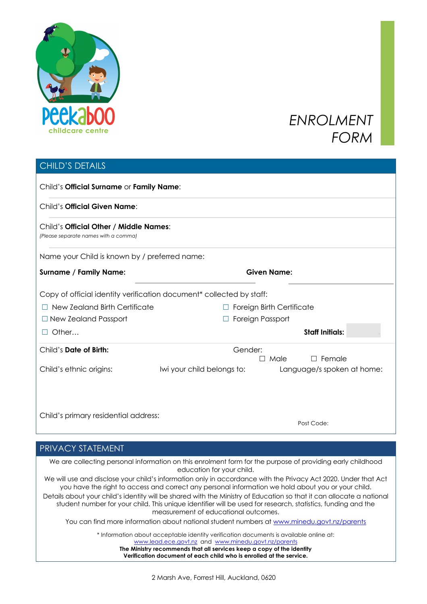

# *ENROLMENT FORM*

## CHILD'S DETAILS

| Child's Official Surname or Family Name:                                       |                            |                                  |
|--------------------------------------------------------------------------------|----------------------------|----------------------------------|
| Child's Official Given Name:                                                   |                            |                                  |
| Child's Official Other / Middle Names:<br>(Please separate names with a comma) |                            |                                  |
| Name your Child is known by / preferred name:                                  |                            |                                  |
| <b>Surname / Family Name:</b>                                                  |                            | <b>Given Name:</b>               |
| Copy of official identity verification document* collected by staff:           |                            |                                  |
| $\Box$ New Zealand Birth Certificate                                           |                            | <b>Foreign Birth Certificate</b> |
| $\Box$ New Zealand Passport                                                    |                            | Foreign Passport                 |
| Other                                                                          |                            | <b>Staff Initials:</b>           |
| Child's Date of Birth:                                                         | Gender:                    | $\Box$ Male<br>Female            |
| Child's ethnic origins:                                                        | Iwi your child belongs to: | Language/s spoken at home:       |
|                                                                                |                            |                                  |
| Child's primary residential address:                                           |                            |                                  |
|                                                                                |                            | Post Code:                       |

## PRIVACY STATEMENT

We are collecting personal information on this enrolment form for the purpose of providing early childhood education for your child.

We will use and disclose your child's information only in accordance with the Privacy Act 2020. Under that Act you have the right to access and correct any personal information we hold about you or your child.

Details about your child's identity will be shared with the Ministry of Education so that it can allocate a national student number for your child. This unique identifier will be used for research, statistics, funding and the measurement of educational outcomes.

You can find more information about national student numbers at www.minedu.govt.nz/parents

\* Information about acceptable identity verification documents is available online at: www.lead.ece.govt.nz and www.minedu.govt.nz/parents **The Ministry recommends that all services keep a copy of the identity Verification document of each child who is enrolled at the service.**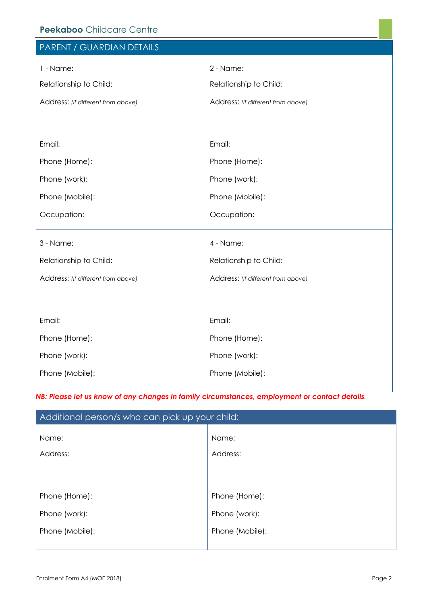| Peekaboo Childcare Centre          |                                    |  |  |  |  |  |
|------------------------------------|------------------------------------|--|--|--|--|--|
| PARENT / GUARDIAN DETAILS          |                                    |  |  |  |  |  |
| 1 - Name:                          | 2 - Name:                          |  |  |  |  |  |
| Relationship to Child:             | Relationship to Child:             |  |  |  |  |  |
| Address: (If different from above) | Address: (If different from above) |  |  |  |  |  |
|                                    |                                    |  |  |  |  |  |
|                                    |                                    |  |  |  |  |  |
| Email:                             | Email:                             |  |  |  |  |  |
| Phone (Home):                      | Phone (Home):                      |  |  |  |  |  |
| Phone (work):                      | Phone (work):                      |  |  |  |  |  |
| Phone (Mobile):                    | Phone (Mobile):                    |  |  |  |  |  |
| Occupation:                        | Occupation:                        |  |  |  |  |  |
|                                    |                                    |  |  |  |  |  |
| 3 - Name:                          | 4 - Name:                          |  |  |  |  |  |
| Relationship to Child:             | Relationship to Child:             |  |  |  |  |  |
| Address: (If different from above) | Address: (If different from above) |  |  |  |  |  |
|                                    |                                    |  |  |  |  |  |
| Email:                             | Email:                             |  |  |  |  |  |
|                                    |                                    |  |  |  |  |  |
| Phone (Home):                      | Phone (Home):                      |  |  |  |  |  |

Phone (work): Phone (Mobile): Phone (work): Phone (Mobile):

*NB: Please let us know of any changes in family circumstances, employment or contact details.* 

| Additional person/s who can pick up your child: |                   |  |  |  |
|-------------------------------------------------|-------------------|--|--|--|
| Name:<br>Address:                               | Name:<br>Address: |  |  |  |
| Phone (Home):                                   | Phone (Home):     |  |  |  |
| Phone (work):                                   | Phone (work):     |  |  |  |
| Phone (Mobile):                                 | Phone (Mobile):   |  |  |  |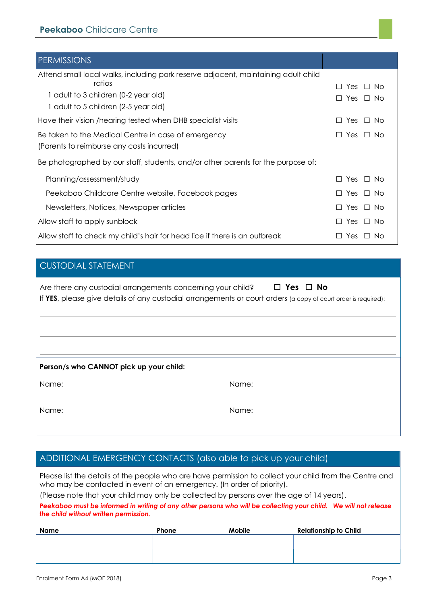| <b>PERMISSIONS</b>                                                                 |                               |
|------------------------------------------------------------------------------------|-------------------------------|
| Attend small local walks, including park reserve adjacent, maintaining adult child |                               |
| ratios                                                                             | Yes $\Box$ No                 |
| 1 adult to 3 children (0-2 year old)                                               | Yes $\Box$ No                 |
| 1 adult to 5 children (2-5 year old)                                               |                               |
| Have their vision /hearing tested when DHB specialist visits                       | Yes<br>⊥ No                   |
| Be taken to the Medical Centre in case of emergency                                | Yes $\Box$ No<br>$\perp$      |
| (Parents to reimburse any costs incurred)                                          |                               |
| Be photographed by our staff, students, and/or other parents for the purpose of:   |                               |
| Planning/assessment/study                                                          | Yes $\Box$ No                 |
| Peekaboo Childcare Centre website, Facebook pages                                  | Yes $\Box$ No                 |
| Newsletters, Notices, Newspaper articles                                           | Yes $\Box$ No                 |
| Allow staff to apply sunblock                                                      | Yes $\Box$ No<br>$\mathsf{L}$ |
| Allow staff to check my child's hair for head lice if there is an outbreak         | Yes<br>No.                    |

## CUSTODIAL STATEMENT

| Are there any custodial arrangements concerning your child?                                                    | $\square$ Yes $\square$ No |
|----------------------------------------------------------------------------------------------------------------|----------------------------|
| If YES, please give details of any custodial arrangements or court orders (a copy of court order is required): |                            |

#### **Person/s who CANNOT pick up your child:**

Name:

| Name |  |
|------|--|
|      |  |

I

Name:

## ADDITIONAL EMERGENCY CONTACTS (also able to pick up your child)

Please list the details of the people who are have permission to collect your child from the Centre and who may be contacted in event of an emergency. (In order of priority).

(Please note that your child may only be collected by persons over the age of 14 years).

*Peekaboo must be informed in writing of any other persons who will be collecting your child. We will not release the child without written permission.*

| Name | Phone | <b>Mobile</b> | <b>Relationship to Child</b> |
|------|-------|---------------|------------------------------|
|      |       |               |                              |
|      |       |               |                              |
|      |       |               |                              |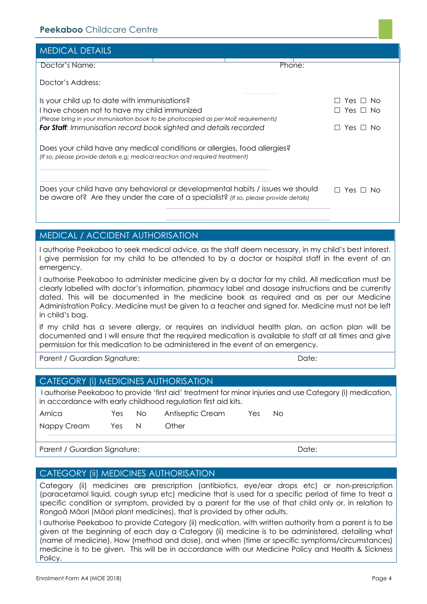| <b>MEDICAL DETAILS</b>                                                                                                                                                  |                 |        |                    |
|-------------------------------------------------------------------------------------------------------------------------------------------------------------------------|-----------------|--------|--------------------|
| Doctor's Name:                                                                                                                                                          |                 | Phone: |                    |
| Doctor's Address:                                                                                                                                                       |                 |        |                    |
| Is your child up to date with immunisations?                                                                                                                            |                 |        | Yes $\Box$<br>N∩   |
| I have chosen not to have my child immunized                                                                                                                            | Yes $\sqcup$ No |        |                    |
| (Please bring in your immunisation book to be photocopied as per MoE requirements)<br>For Staff: Immunisation record book sighted and details recorded                  |                 |        | Yes $\Box$<br>- No |
| Does your child have any medical conditions or allergies, food allergies?<br>(If so, please provide details e.g; medical reaction and required treatment)               |                 |        |                    |
| Does your child have any behavioral or developmental habits / issues we should<br>be aware of? Are they under the care of a specialist? (If so, please provide details) |                 |        | Yes I<br>N∩        |

### MEDICAL / ACCIDENT AUTHORISATION

I authorise Peekaboo to seek medical advice, as the staff deem necessary, in my child's best interest. I give permission for my child to be attended to by a doctor or hospital staff in the event of an emergency.

I authorise Peekaboo to administer medicine given by a doctor for my child. All medication must be clearly labelled with doctor's information, pharmacy label and dosage instructions and be currently dated. This will be documented in the medicine book as required and as per our Medicine Administration Policy. Medicine must be given to a teacher and signed for. Medicine must not be left in child's bag.

If my child has a severe allergy, or requires an individual health plan, an action plan will be documented and I will ensure that the required medication is available to staff at all times and give permission for this medication to be administered in the event of an emergency.

Parent / Guardian Signature: Date: Date: Date: Date: Date: Date: Date: Date: Date: Date: Date: Date: Date: Date: Date: Date: Date: Date: Date: Date: Date: Date: Date: Date: Date: Date: Date: Date: Date: Date: Date: Date: D

#### CATEGORY (i) MEDICINES AUTHORISATION

I authorise Peekaboo to provide 'first aid' treatment for minor injuries and use Category (i) medication, in accordance with early childhood regulation first aid kits.

| Other |  |
|-------|--|
|       |  |

#### Parent / Guardian Signature: Note: Note: Date: Date: Date: Date: Date: Date: Date: Date: Date: Date: Date: Date: Date: Date: Date: Date: Date: Date: Date: Date: Date: Date: Date: Date: Date: Date: Date: Date: Date: Date: D

#### CATEGORY (ii) MEDICINES AUTHORISATION

Category (ii) medicines are prescription (antibiotics, eye/ear drops etc) or non-prescription (paracetamol liquid, cough syrup etc) medicine that is used for a specific period of time to treat a specific condition or symptom, provided by a parent for the use of that child only or, in relation to Rongoã Māori (Māori plant medicines), that is provided by other adults.

I authorise Peekaboo to provide Category (ii) medication, with written authority from a parent is to be given at the beginning of each day a Category (ii) medicine is to be administered, detailing what (name of medicine), How (method and dose), and when (time or specific symptoms/circumstances) medicine is to be given. This will be in accordance with our Medicine Policy and Health & Sickness Policy.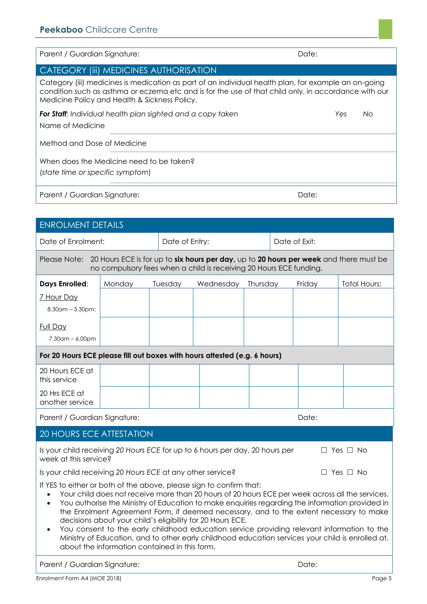| Parent / Guardian Signature:                                                                                                                                                                                                                                  | Date:  |                |           |          |               |  |                     |
|---------------------------------------------------------------------------------------------------------------------------------------------------------------------------------------------------------------------------------------------------------------|--------|----------------|-----------|----------|---------------|--|---------------------|
| CATEGORY (iii) MEDICINES AUTHORISATION                                                                                                                                                                                                                        |        |                |           |          |               |  |                     |
| Category (iii) medicines is medication as part of an individual health plan, for example an on-going<br>condition such as asthma or eczema etc and is for the use of that child only, in accordance with our<br>Medicine Policy and Health & Sickness Policy. |        |                |           |          |               |  |                     |
| <b>For Staff:</b> Individual health plan sighted and a copy taken<br>Yes<br>Nο<br>Name of Medicine                                                                                                                                                            |        |                |           |          |               |  |                     |
| Method and Dose of Medicine                                                                                                                                                                                                                                   |        |                |           |          |               |  |                     |
| When does the Medicine need to be taken?<br>(state time or specific symptom)                                                                                                                                                                                  |        |                |           |          |               |  |                     |
| Parent / Guardian Signature:<br>Date:                                                                                                                                                                                                                         |        |                |           |          |               |  |                     |
|                                                                                                                                                                                                                                                               |        |                |           |          |               |  |                     |
| <b>ENROLMENT DETAILS</b>                                                                                                                                                                                                                                      |        |                |           |          |               |  |                     |
| Date of Enrolment:                                                                                                                                                                                                                                            |        | Date of Entry: |           |          | Date of Exit: |  |                     |
| Please Note: 20 Hours ECE is for up to six hours per day, up to 20 hours per week and there must be<br>no compulsory fees when a child is receiving 20 Hours ECE funding.                                                                                     |        |                |           |          |               |  |                     |
| <b>Days Enrolled:</b>                                                                                                                                                                                                                                         | Monday | Tuesday        | Wednesday | Thursday | Friday        |  | <b>Total Hours:</b> |
| 7 Hour Day<br>$8.30$ am – $3.30$ pm:                                                                                                                                                                                                                          |        |                |           |          |               |  |                     |
| Full Day<br>$7.30$ am – 6.00pm                                                                                                                                                                                                                                |        |                |           |          |               |  |                     |

| For 20 Hours ECE please fill out boxes with hours attested (e.g. 6 hours) |  |  |  |  |  |  |
|---------------------------------------------------------------------------|--|--|--|--|--|--|
| 20 Hours ECE at<br>this service                                           |  |  |  |  |  |  |
| 20 Hrs ECE at<br>another service                                          |  |  |  |  |  |  |

Parent / Guardian Signature: Date: Date: Date: Date: Date: Date: Date: Date: Date: Date: Date: Date: Date: Date: Date: Date: Date: Date: Date: Date: Date: Date: Date: Date: Date: Date: Date: Date: Date: Date: Date: Date: D

### 20 HOURS ECE ATTESTATION

| Is your child receiving 20 Hours ECE for up to 6 hours per day, 20 hours per | $\Box$ Yes $\Box$ No |
|------------------------------------------------------------------------------|----------------------|
| week at this service?                                                        |                      |

Is your child receiving 20 Hours ECE at any other service? □ Yes □ No

If YES to either or both of the above, please sign to confirm that:

- Your child does not receive more than 20 hours of 20 hours ECE per week across all the services.
- You authorise the Ministry of Education to make enquiries regarding the information provided in the Enrolment Agreement Form, if deemed necessary, and to the extent necessary to make decisions about your child's eligibility for 20 Hours ECE.
- You consent to the early childhood education service providing relevant information to the Ministry of Education, and to other early childhood education services your child is enrolled at, about the information contained in this form.

Parent / Guardian Signature: Date: Date: Date: Date: Date: Date: Date: Date: Date: Date: Date: Date: Date: Date: Date: Date: Date: Date: Date: Date: Date: Date: Date: Date: Date: Date: Date: Date: Date: Date: Date: Date: D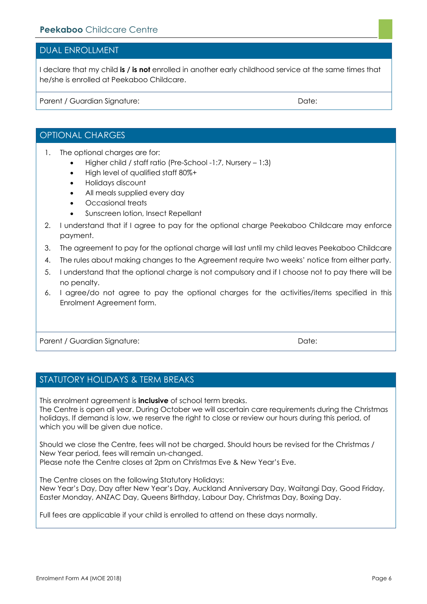#### DUAL ENROLLMENT

I declare that my child **is / is not** enrolled in another early childhood service at the same times that he/she is enrolled at Peekaboo Childcare.

Parent / Guardian Signature: Date: Date: Date: Date: Date: Date: Date: Date: Date: Date: Date: Date: Date: Date: Date: Date: Date: Date: Date: Date: Date: Date: Date: Date: Date: Date: Date: Date: Date: Date: Date: Date: D

### OPTIONAL CHARGES

- 1. The optional charges are for:
	- Higher child / staff ratio (Pre-School -1:7, Nursery 1:3)
	- High level of qualified staff 80%+
	- Holidays discount
	- All meals supplied every day
	- Occasional treats
	- Sunscreen lotion, Insect Repellant
- 2. I understand that if I agree to pay for the optional charge Peekaboo Childcare may enforce payment.
- 3. The agreement to pay for the optional charge will last until my child leaves Peekaboo Childcare
- 4. The rules about making changes to the Agreement require two weeks' notice from either party.
- 5. I understand that the optional charge is not compulsory and if I choose not to pay there will be no penalty.
- 6. I agree/do not agree to pay the optional charges for the activities/items specified in this Enrolment Agreement form.

Parent / Guardian Signature: Date: Date: Date: Date: Date: Date: Date: Date: Date: Date: Date: Date: Date: Date: Date: Date: Date: Date: Date: Date: Date: Date: Date: Date: Date: Date: Date: Date: Date: Date: Date: Date: D

#### STATUTORY HOLIDAYS & TERM BREAKS

This enrolment agreement is **inclusive** of school term breaks.

The Centre is open all year. During October we will ascertain care requirements during the Christmas holidays. If demand is low, we reserve the right to close or review our hours during this period, of which you will be given due notice.

Should we close the Centre, fees will not be charged. Should hours be revised for the Christmas / New Year period, fees will remain un-changed. Please note the Centre closes at 2pm on Christmas Eve & New Year's Eve.

The Centre closes on the following Statutory Holidays:

New Year's Day, Day after New Year's Day, Auckland Anniversary Day, Waitangi Day, Good Friday, Easter Monday, ANZAC Day, Queens Birthday, Labour Day, Christmas Day, Boxing Day.

Full fees are applicable if your child is enrolled to attend on these days normally.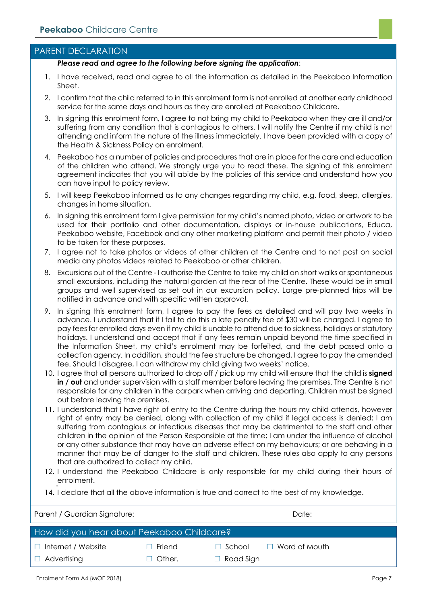#### PARENT DECLARATION

#### *Please read and agree to the following before signing the application*:

- 1. I have received, read and agree to all the information as detailed in the Peekaboo Information Sheet.
- 2. I confirm that the child referred to in this enrolment form is not enrolled at another early childhood service for the same days and hours as they are enrolled at Peekaboo Childcare.
- 3. In signing this enrolment form, I agree to not bring my child to Peekaboo when they are ill and/or suffering from any condition that is contagious to others. I will notify the Centre if my child is not attending and inform the nature of the illness immediately. I have been provided with a copy of the Health & Sickness Policy on enrolment.
- 4. Peekaboo has a number of policies and procedures that are in place for the care and education of the children who attend. We strongly urge you to read these. The signing of this enrolment agreement indicates that you will abide by the policies of this service and understand how you can have input to policy review.
- 5. I will keep Peekaboo informed as to any changes regarding my child, e.g. food, sleep, allergies, changes in home situation.
- 6. In signing this enrolment form I give permission for my child's named photo, video or artwork to be used for their portfolio and other documentation, displays or in-house publications, Educa, Peekaboo website, Facebook and any other marketing platform and permit their photo / video to be taken for these purposes.
- 7. I agree not to take photos or videos of other children at the Centre and to not post on social media any photos videos related to Peekaboo or other children.
- 8. Excursions out of the Centre I authorise the Centre to take my child on short walks or spontaneous small excursions, including the natural garden at the rear of the Centre. These would be in small groups and well supervised as set out in our excursion policy. Large pre-planned trips will be notified in advance and with specific written approval.
- 9. In signing this enrolment form, I agree to pay the fees as detailed and will pay two weeks in advance. I understand that if I fail to do this a late penalty fee of \$30 will be charged. I agree to pay fees for enrolled days even if my child is unable to attend due to sickness, holidays or statutory holidays. I understand and accept that if any fees remain unpaid beyond the time specified in the Information Sheet, my child's enrolment may be forfeited, and the debt passed onto a collection agency. In addition, should the fee structure be changed, I agree to pay the amended fee. Should I disagree, I can withdraw my child giving two weeks' notice.
- 10. I agree that all persons authorized to drop off / pick up my child will ensure that the child is **signed in / out** and under supervision with a staff member before leaving the premises. The Centre is not responsible for any children in the carpark when arriving and departing. Children must be signed out before leaving the premises.
- 11. I understand that I have right of entry to the Centre during the hours my child attends, however right of entry may be denied, along with collection of my child if legal access is denied; I am suffering from contagious or infectious diseases that may be detrimental to the staff and other children in the opinion of the Person Responsible at the time; I am under the influence of alcohol or any other substance that may have an adverse effect on my behaviours; or are behaving in a manner that may be of danger to the staff and children. These rules also apply to any persons that are authorized to collect my child.
- 12. I understand the Peekaboo Childcare is only responsible for my child during their hours of enrolment.
- 14. I declare that all the above information is true and correct to the best of my knowledge.

| Parent / Guardian Signature:               |               |                  | Date:                |  |  |
|--------------------------------------------|---------------|------------------|----------------------|--|--|
| How did you hear about Peekaboo Childcare? |               |                  |                      |  |  |
| $\Box$ Internet / Website                  | $\Box$ Friend | $\Box$ School    | $\Box$ Word of Mouth |  |  |
| $\Box$ Advertising                         | $\Box$ Other. | $\Box$ Road Sign |                      |  |  |